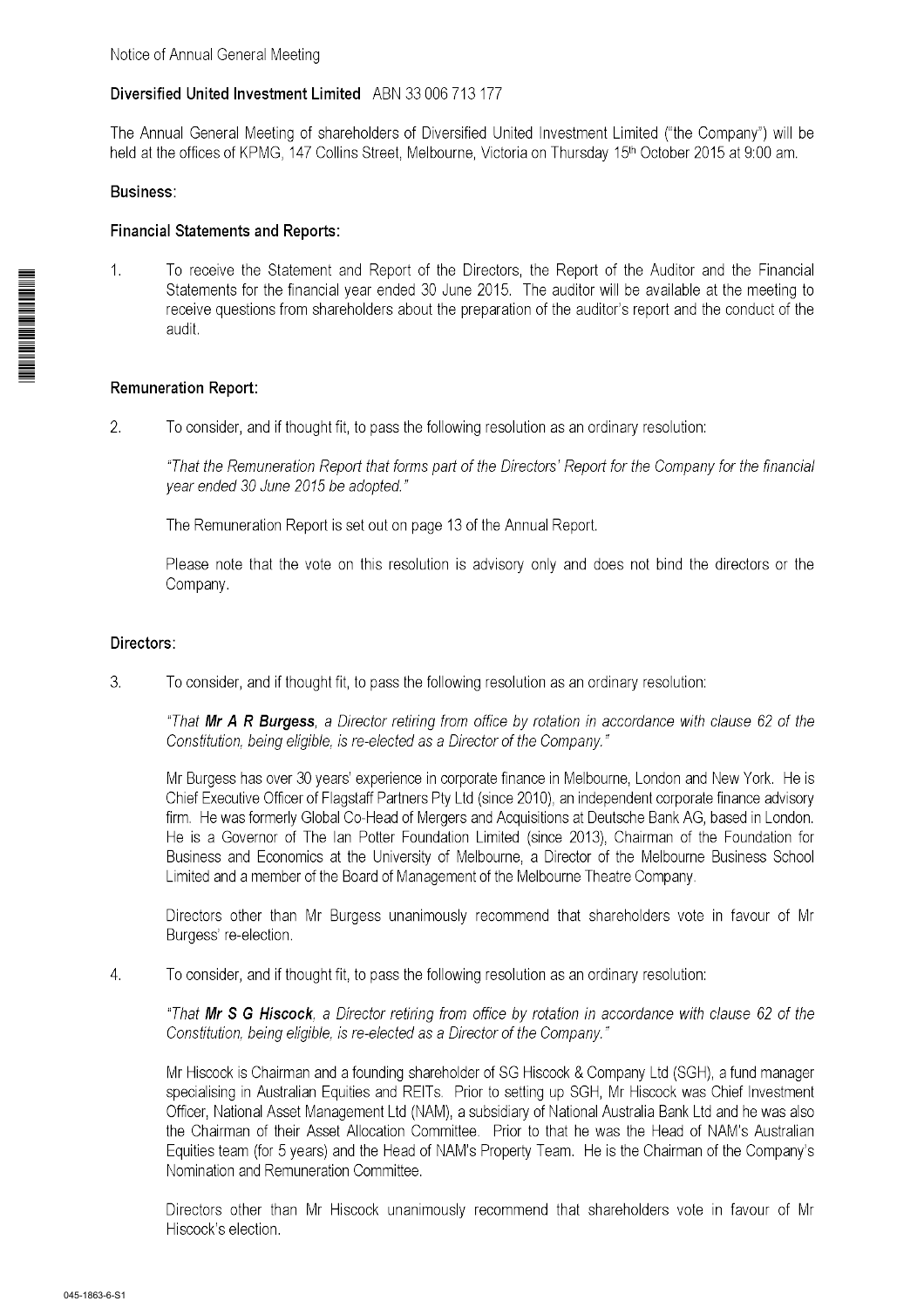# Diversified United Investment Limited ABN 33 006 713 177

The Annual General Meeting of shareholders of Diversified United Investment Limited ("the Company") will be held at the offices of KPMG, 147 Collins Street, Melbourne, Victoria on Thursday 15th October 2015 at 9:00 am.

## **Business:**

## **Financial Statements and Reports:**

 $1<sub>1</sub>$ To receive the Statement and Report of the Directors, the Report of the Auditor and the Financial Statements for the financial year ended 30 June 2015. The auditor will be available at the meeting to receive questions from shareholders about the preparation of the auditor's report and the conduct of the audit.

# **Remuneration Report:**

 $\overline{2}$ . To consider, and if thought fit, to pass the following resolution as an ordinary resolution:

"That the Remuneration Report that forms part of the Directors' Report for the Company for the financial vear ended 30 June 2015 be adopted."

The Remuneration Report is set out on page 13 of the Annual Report.

Please note that the vote on this resolution is advisory only and does not bind the directors or the Company.

## Directors:

 $3.$ To consider, and if thought fit, to pass the following resolution as an ordinary resolution:

"That Mr A R Burgess, a Director retiring from office by rotation in accordance with clause 62 of the Constitution, being eligible, is re-elected as a Director of the Company."

Mr Burgess has over 30 years' experience in corporate finance in Melbourne, London and New York. He is Chief Executive Officer of Flagstaff Partners Pty Ltd (since 2010), an independent corporate finance advisory firm. He was formerly Global Co-Head of Mergers and Acquisitions at Deutsche Bank AG, based in London. He is a Governor of The Ian Potter Foundation Limited (since 2013). Chairman of the Foundation for Business and Economics at the University of Melbourne, a Director of the Melbourne Business School Limited and a member of the Board of Management of the Melbourne Theatre Company.

Directors other than Mr Burgess unanimously recommend that shareholders vote in favour of Mr Burgess' re-election.

4. To consider, and if thought fit, to pass the following resolution as an ordinary resolution:

"That Mr S G Hiscock, a Director retiring from office by rotation in accordance with clause 62 of the Constitution, being eligible, is re-elected as a Director of the Company."

Mr Hiscock is Chairman and a founding shareholder of SG Hiscock & Company Ltd (SGH), a fund manager specialising in Australian Equities and REITs. Prior to setting up SGH, Mr Hiscock was Chief Investment Officer, National Asset Management Ltd (NAM), a subsidiary of National Australia Bank Ltd and he was also the Chairman of their Asset Allocation Committee. Prior to that he was the Head of NAM's Australian Equities team (for 5 years) and the Head of NAM's Property Team. He is the Chairman of the Company's Nomination and Remuneration Committee.

Directors other than Mr Hiscock unanimously recommend that shareholders vote in favour of Mr Hiscock's election.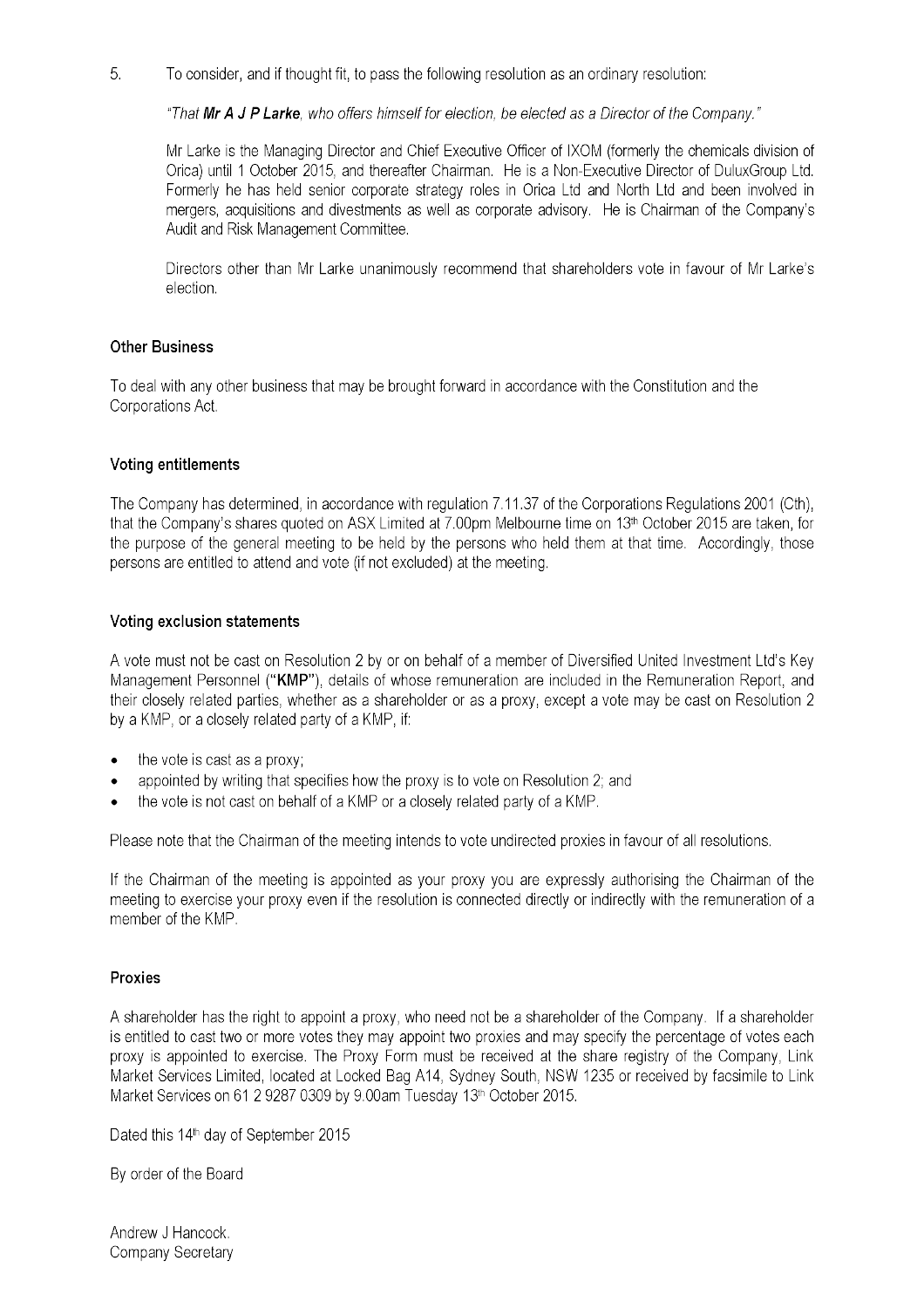5. To consider, and if thought fit, to pass the following resolution as an ordinary resolution:

"That Mr A J P Larke, who offers himself for election, be elected as a Director of the Company."

Mr Larke is the Managing Director and Chief Executive Officer of IXOM (formerly the chemicals division of Orica) until 1 October 2015, and thereafter Chairman. He is a Non-Executive Director of DuluxGroup Ltd. Formerly he has held senior corporate strategy roles in Orica Ltd and North Ltd and been involved in mergers, acquisitions and divestments as well as corporate advisory. He is Chairman of the Company's Audit and Risk Management Committee.

Directors other than Mr Larke unanimously recommend that shareholders vote in favour of Mr Larke's election.

### **Other Business**

To deal with any other business that may be brought forward in accordance with the Constitution and the Corporations Act.

### **Voting entitlements**

The Company has determined, in accordance with regulation 7.11.37 of the Corporations Regulations 2001 (Cth), that the Company's shares quoted on ASX Limited at 7.00pm Melbourne time on 13<sup>th</sup> October 2015 are taken, for the purpose of the general meeting to be held by the persons who held them at that time. Accordingly, those persons are entitled to attend and vote (if not excluded) at the meeting.

## Voting exclusion statements

A vote must not be cast on Resolution 2 by or on behalf of a member of Diversified United Investment Ltd's Key Management Personnel ("KMP"), details of whose remuneration are included in the Remuneration Report, and their closely related parties, whether as a shareholder or as a proxy, except a vote may be cast on Resolution 2 by a KMP, or a closely related party of a KMP, if:

- the vote is cast as a proxy:
- appointed by writing that specifies how the proxy is to vote on Resolution 2; and
- the vote is not cast on behalf of a KMP or a closely related party of a KMP.

Please note that the Chairman of the meeting intends to vote undirected proxies in favour of all resolutions.

If the Chairman of the meeting is appointed as your proxy you are expressly authorising the Chairman of the meeting to exercise your proxy even if the resolution is connected directly or indirectly with the remuneration of a member of the KMP.

## **Proxies**

A shareholder has the right to appoint a proxy, who need not be a shareholder of the Company. If a shareholder is entitled to cast two or more votes they may appoint two proxies and may specify the percentage of votes each proxy is appointed to exercise. The Proxy Form must be received at the share registry of the Company, Link Market Services Limited, located at Locked Bag A14, Sydney South, NSW 1235 or received by facsimile to Link Market Services on 61 2 9287 0309 by 9.00am Tuesday 13th October 2015.

Dated this 14<sup>th</sup> day of September 2015

By order of the Board

Andrew J Hancock. Company Secretary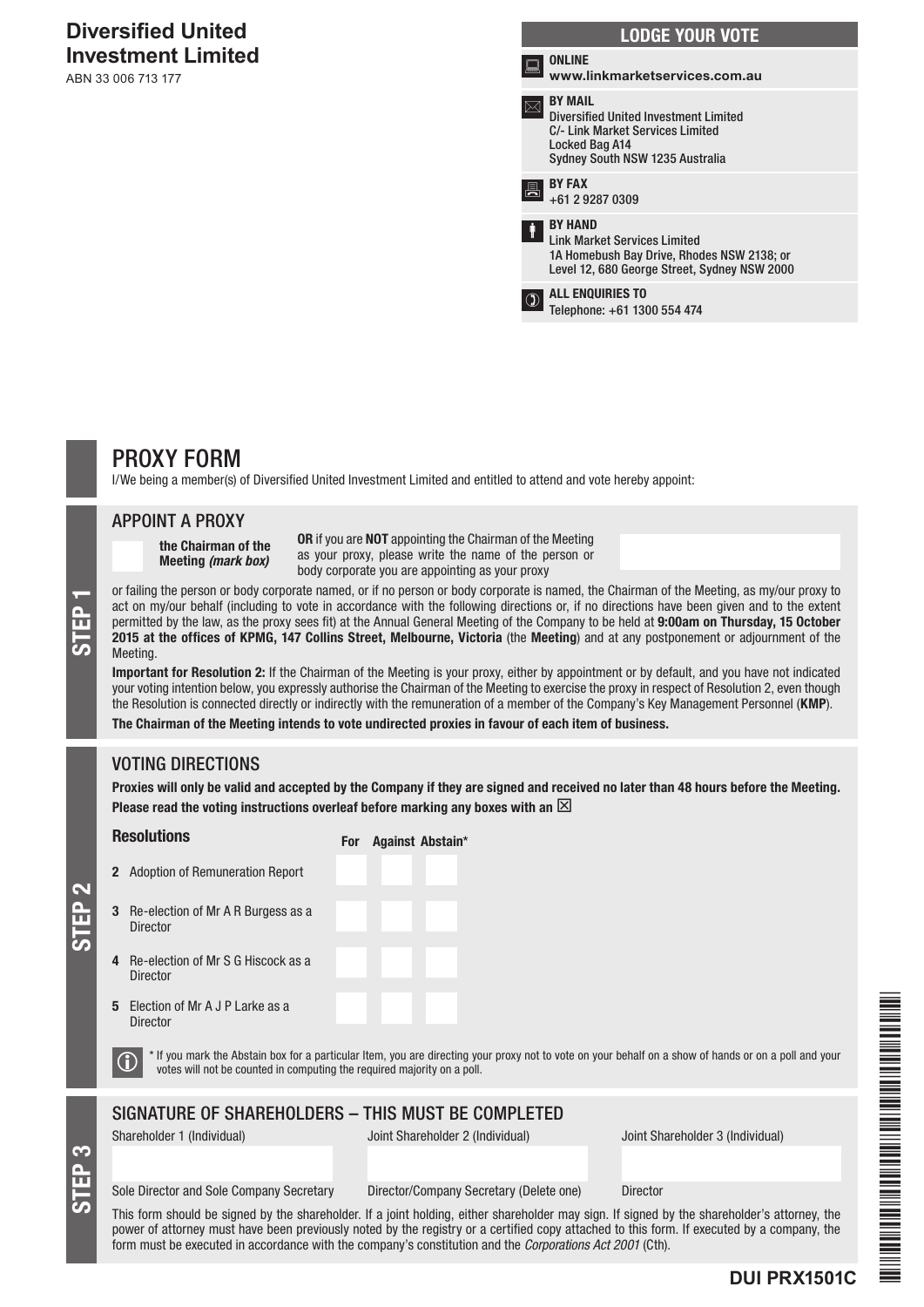# **Diversified United Investment Limited**

ABN 33 006 713 177

|       | <b>LODGE YOUR VOTE</b>                                                                                                                                  |
|-------|---------------------------------------------------------------------------------------------------------------------------------------------------------|
| in 19 | <b>ONLINE</b><br>www.linkmarketservices.com.au                                                                                                          |
|       | <b>BY MAIL</b><br><b>Diversified United Investment Limited</b><br>C/- Link Market Services Limited<br>Locked Bag A14<br>Sydney South NSW 1235 Australia |
| 県     | <b>BY FAX</b><br>+61 2 9287 0309                                                                                                                        |
| Ť     | <b>BY HAND</b><br><b>Link Market Services Limited</b><br>1A Homebush Bay Drive, Rhodes NSW 2138; or<br>Level 12, 680 George Street, Sydney NSW 2000     |
| ា     | <b>ALL ENQUIRIES TO</b><br>Telephone: +61 1300 554 474                                                                                                  |
|       |                                                                                                                                                         |

# PROXY FORM

I/We being a member(s) of Diversified United Investment Limited and entitled to attend and vote hereby appoint:

### APPOINT A PROXY

the Chairman of the Meeting *(mark box)*

OR if you are NOT appointing the Chairman of the Meeting as your proxy, please write the name of the person or body corporate you are appointing as your proxy

or failing the person or body corporate named, or if no person or body corporate is named, the Chairman of the Meeting, as my/our proxy to<br>act on my/our behalf (including to vote in accordance with the following directions act on my/our behalf (including to vote in accordance with the following directions or, if no directions have been given and to the extent permitted by the law, as the proxy sees fit) at the Annual General Meeting of the Company to be held at 9:00am on Thursday, 15 October **Meeting** 

Important for Resolution 2: If the Chairman of the Meeting is your proxy, either by appointment or by default, and you have not indicated your voting intention below, you expressly authorise the Chairman of the Meeting to exercise the proxy in respect of Resolution 2, even though the Resolution is connected directly or indirectly with the remuneration of a member of the Company's Key Management Personnel (KMP).

The Chairman of the Meeting intends to vote undirected proxies in favour of each item of business.

# VOTING DIRECTIONS

Proxies will only be valid and accepted by the Company if they are signed and received no later than 48 hours before the Meeting. Please read the voting instructions overleaf before marking any boxes with an  $\boxtimes$ 

# Resolutions

For Against Abstain\*

3 Re-election of Mr A R Burgess as a Director

2 Adoption of Remuneration Report

- 4 Re-election of Mr S G Hiscock as a **Director**
- 5 Election of Mr A J P Larke as a **Director**

STEP 3

STEP 2

 $\bigcirc$  \* If you mark the Abstain box for a particular Item, you are directing your proxy not to vote on your behalf on a show of hands or on a poll and your votes will not be counted in computing the required majority on a

# SIGNATURE OF SHAREHOLDERS – THIS MUST BE COMPLETED

Shareholder 1 (Individual) Joint Shareholder 2 (Individual) Joint Shareholder 3 (Individual)

Sole Director and Sole Company Secretary Director/Company Secretary (Delete one) Director

This form should be signed by the shareholder. If a joint holding, either shareholder may sign. If signed by the shareholder's attorney, the power of attorney must have been previously noted by the registry or a certified copy attached to this form. If executed by a company, the form must be executed in accordance with the company's constitution and the *Corporations Act 2001* (Cth).

EN EN DE DIE DIE TRAFFICIER EN EN EN EN EN DIE EN EN DIE TRAFFICIER EN DIE TRAFFICIER EN EN DIE DIE TRAFFICIER \*DUI PRINSIPALIT PRINSIPALIT PRINSIPALIT PRINSIPALIT PRINSIPALIT PRINSIPALIT PRINSIPALIT PRINSIPALIT PRINSIPALIT PR